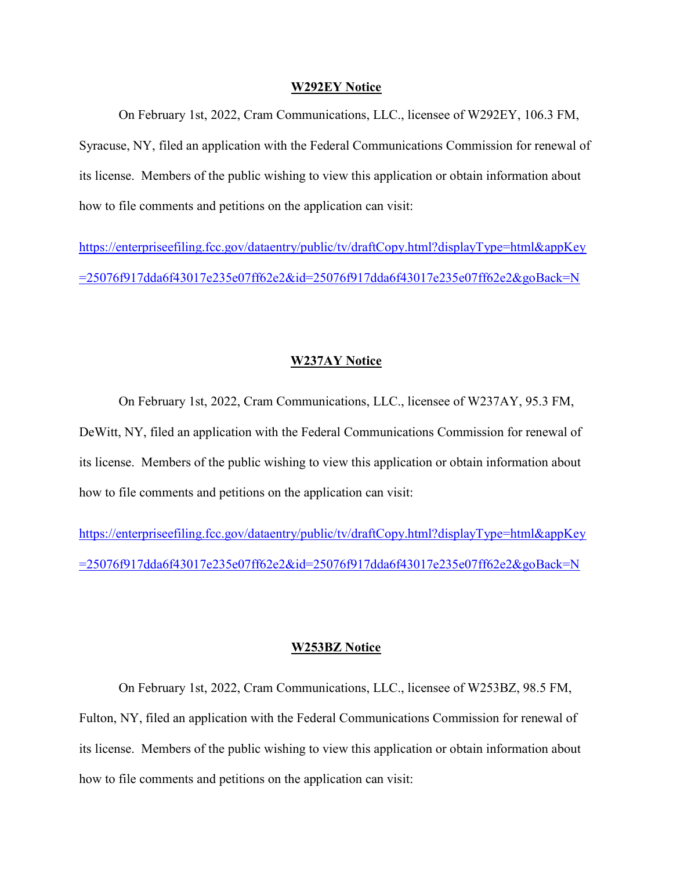#### W292EY Notice

On February 1st, 2022, Cram Communications, LLC., licensee of W292EY, 106.3 FM, Syracuse, NY, filed an application with the Federal Communications Commission for renewal of its license. Members of the public wishing to view this application or obtain information about how to file comments and petitions on the application can visit:

https://enterpriseefiling.fcc.gov/dataentry/public/tv/draftCopy.html?displayType=html&appKey =25076f917dda6f43017e235e07ff62e2&id=25076f917dda6f43017e235e07ff62e2&goBack=N

### W237AY Notice

On February 1st, 2022, Cram Communications, LLC., licensee of W237AY, 95.3 FM, DeWitt, NY, filed an application with the Federal Communications Commission for renewal of its license. Members of the public wishing to view this application or obtain information about how to file comments and petitions on the application can visit:

https://enterpriseefiling.fcc.gov/dataentry/public/tv/draftCopy.html?displayType=html&appKey =25076f917dda6f43017e235e07ff62e2&id=25076f917dda6f43017e235e07ff62e2&goBack=N

#### W253BZ Notice

On February 1st, 2022, Cram Communications, LLC., licensee of W253BZ, 98.5 FM, Fulton, NY, filed an application with the Federal Communications Commission for renewal of its license. Members of the public wishing to view this application or obtain information about how to file comments and petitions on the application can visit: